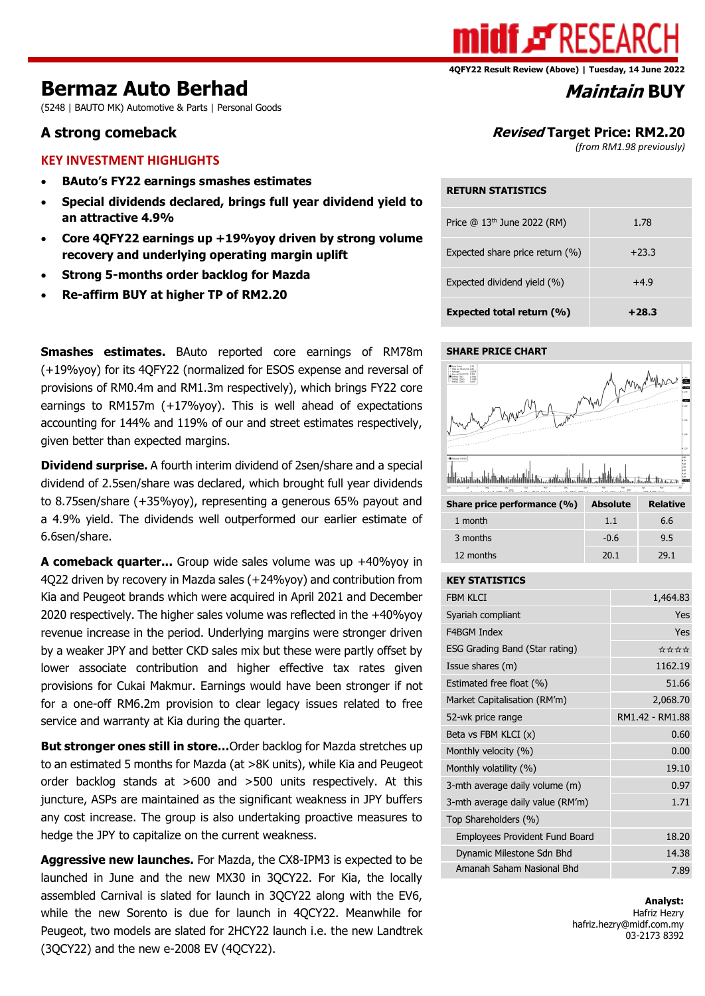

#### **4QFY22 Result Review (Above) | Tuesday, 14 June 2022**

# **Bermaz Auto Berhad** *Maintain* **BUY**

(5248 | BAUTO MK) Automotive & Parts | Personal Goods

### **KEY INVESTMENT HIGHLIGHTS**

- **BAuto's FY22 earnings smashes estimates**
- **Special dividends declared, brings full year dividend yield to an attractive 4.9%**
- **Core 4QFY22 earnings up +19%yoy driven by strong volume recovery and underlying operating margin uplift**
- **Strong 5-months order backlog for Mazda**
- **Re-affirm BUY at higher TP of RM2.20**

**Smashes estimates.** BAuto reported core earnings of RM78m (+19%yoy) for its 4QFY22 (normalized for ESOS expense and reversal of provisions of RM0.4m and RM1.3m respectively), which brings FY22 core earnings to RM157m (+17%yoy). This is well ahead of expectations accounting for 144% and 119% of our and street estimates respectively, given better than expected margins.

**Dividend surprise.** A fourth interim dividend of 2sen/share and a special dividend of 2.5sen/share was declared, which brought full year dividends to 8.75sen/share (+35%yoy), representing a generous 65% payout and a 4.9% yield. The dividends well outperformed our earlier estimate of 6.6sen/share.

**A comeback quarter...** Group wide sales volume was up +40%yoy in 4Q22 driven by recovery in Mazda sales (+24%yoy) and contribution from Kia and Peugeot brands which were acquired in April 2021 and December 2020 respectively. The higher sales volume was reflected in the +40%yoy revenue increase in the period. Underlying margins were stronger driven by a weaker JPY and better CKD sales mix but these were partly offset by lower associate contribution and higher effective tax rates given provisions for Cukai Makmur. Earnings would have been stronger if not for a one-off RM6.2m provision to clear legacy issues related to free service and warranty at Kia during the quarter.

**But stronger ones still in store…**Order backlog for Mazda stretches up to an estimated 5 months for Mazda (at >8K units), while Kia and Peugeot order backlog stands at >600 and >500 units respectively. At this juncture, ASPs are maintained as the significant weakness in JPY buffers any cost increase. The group is also undertaking proactive measures to hedge the JPY to capitalize on the current weakness.

**Aggressive new launches.** For Mazda, the CX8-IPM3 is expected to be launched in June and the new MX30 in 3QCY22. For Kia, the locally assembled Carnival is slated for launch in 3QCY22 along with the EV6, while the new Sorento is due for launch in 4QCY22. Meanwhile for Peugeot, two models are slated for 2HCY22 launch i.e. the new Landtrek (3QCY22) and the new e-2008 EV (4QCY22).

# **A strong comeback Revised Target Price: RM2.20**

*(from RM1.98 previously)*

#### **RETURN STATISTICS**

| Expected share price return (%)<br>Expected dividend yield (%) | $+4.9$  |
|----------------------------------------------------------------|---------|
| <b>Expected total return (%)</b>                               | $+28.3$ |

#### **SHARE PRICE CHART**



| Share price performance (%) | <b>Absolute</b> | <b>Relative</b> |
|-----------------------------|-----------------|-----------------|
| 1 month                     | 1.1             | 6.6             |
| 3 months                    | $-0.6$          | 9.5             |
| 12 months                   | 20.1            | 29.1            |

#### **KEY STATISTICS**

| <b>FBM KLCI</b>                       | 1,464.83        |
|---------------------------------------|-----------------|
| Syariah compliant                     | Yes             |
| <b>F4BGM Index</b>                    | Yes             |
| ESG Grading Band (Star rating)        | ****            |
| Issue shares (m)                      | 1162.19         |
| Estimated free float (%)              | 51.66           |
| Market Capitalisation (RM'm)          | 2,068.70        |
| 52-wk price range                     | RM1.42 - RM1.88 |
| Beta vs FBM KLCI (x)                  | 0.60            |
| Monthly velocity (%)                  | 0.00            |
| Monthly volatility (%)                | 19.10           |
| 3-mth average daily volume (m)        | 0.97            |
| 3-mth average daily value (RM'm)      | 1.71            |
| Top Shareholders (%)                  |                 |
| <b>Employees Provident Fund Board</b> | 18.20           |
| Dynamic Milestone Sdn Bhd             | 14.38           |
| Amanah Saham Nasional Bhd             | 7.89            |

**Analyst:** Hafriz Hezry hafriz.hezry@midf.com.my 03-2173 8392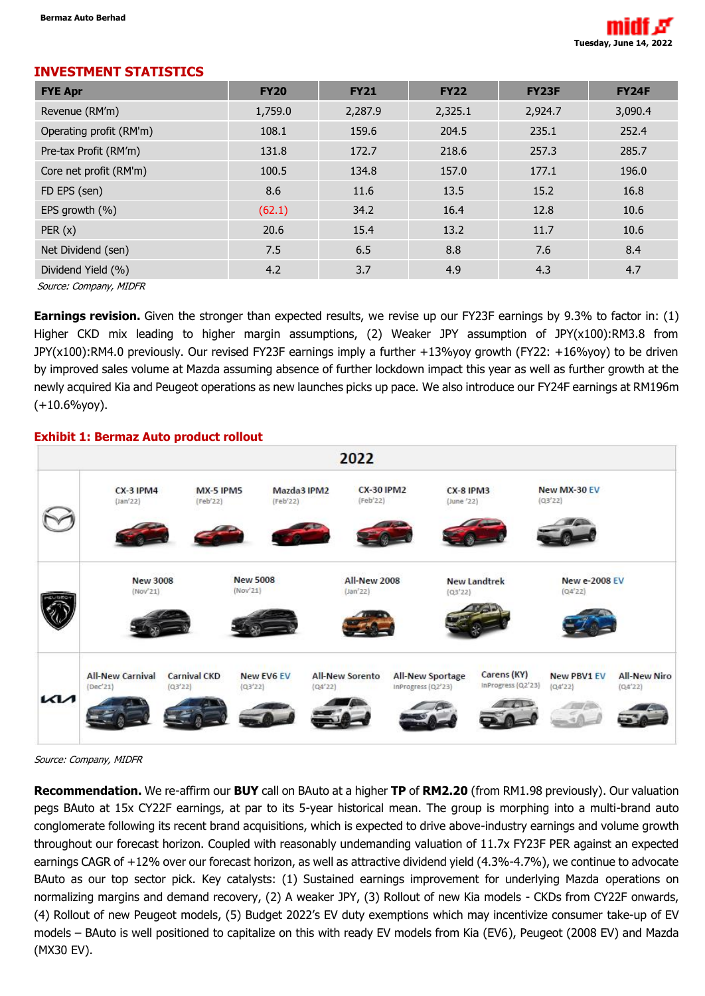

# **INVESTMENT STATISTICS**

| <b>FYE Apr</b>          | <b>FY20</b> | <b>FY21</b> | <b>FY22</b> | <b>FY23F</b> | <b>FY24F</b> |
|-------------------------|-------------|-------------|-------------|--------------|--------------|
| Revenue (RM'm)          | 1,759.0     | 2,287.9     | 2,325.1     | 2,924.7      | 3,090.4      |
| Operating profit (RM'm) | 108.1       | 159.6       | 204.5       | 235.1        | 252.4        |
| Pre-tax Profit (RM'm)   | 131.8       | 172.7       | 218.6       | 257.3        | 285.7        |
| Core net profit (RM'm)  | 100.5       | 134.8       | 157.0       | 177.1        | 196.0        |
| FD EPS (sen)            | 8.6         | 11.6        | 13.5        | 15.2         | 16.8         |
| EPS growth (%)          | (62.1)      | 34.2        | 16.4        | 12.8         | 10.6         |
| PER(x)                  | 20.6        | 15.4        | 13.2        | 11.7         | 10.6         |
| Net Dividend (sen)      | 7.5         | 6.5         | 8.8         | 7.6          | 8.4          |
| Dividend Yield (%)      | 4.2         | 3.7         | 4.9         | 4.3          | 4.7          |
| Source: Company MIDED   |             |             |             |              |              |

Source: Company, MIDFR

**Earnings revision.** Given the stronger than expected results, we revise up our FY23F earnings by 9.3% to factor in: (1) Higher CKD mix leading to higher margin assumptions, (2) Weaker JPY assumption of JPY(x100):RM3.8 from JPY(x100):RM4.0 previously. Our revised FY23F earnings imply a further +13%yoy growth (FY22: +16%yoy) to be driven by improved sales volume at Mazda assuming absence of further lockdown impact this year as well as further growth at the newly acquired Kia and Peugeot operations as new launches picks up pace. We also introduce our FY24F earnings at RM196m (+10.6%yoy).

## **Exhibit 1: Bermaz Auto product rollout**



Source: Company, MIDFR

**Recommendation.** We re-affirm our **BUY** call on BAuto at a higher **TP** of **RM2.20** (from RM1.98 previously). Our valuation pegs BAuto at 15x CY22F earnings, at par to its 5-year historical mean. The group is morphing into a multi-brand auto conglomerate following its recent brand acquisitions, which is expected to drive above-industry earnings and volume growth throughout our forecast horizon. Coupled with reasonably undemanding valuation of 11.7x FY23F PER against an expected earnings CAGR of +12% over our forecast horizon, as well as attractive dividend yield (4.3%-4.7%), we continue to advocate BAuto as our top sector pick. Key catalysts: (1) Sustained earnings improvement for underlying Mazda operations on normalizing margins and demand recovery, (2) A weaker JPY, (3) Rollout of new Kia models - CKDs from CY22F onwards, (4) Rollout of new Peugeot models, (5) Budget 2022's EV duty exemptions which may incentivize consumer take-up of EV models – BAuto is well positioned to capitalize on this with ready EV models from Kia (EV6), Peugeot (2008 EV) and Mazda (MX30 EV).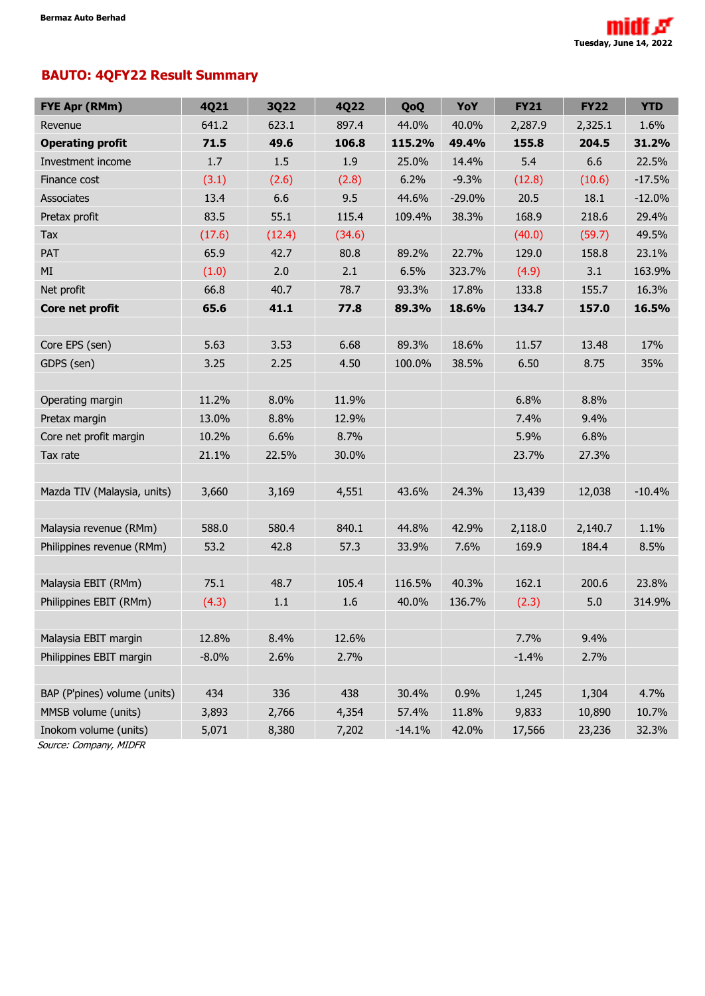# **BAUTO: 4QFY22 Result Summary**

| <b>FYE Apr (RMm)</b>         | 4Q21    | <b>3Q22</b> | 4Q22   | QoQ      | YoY      | <b>FY21</b> | <b>FY22</b> | <b>YTD</b> |
|------------------------------|---------|-------------|--------|----------|----------|-------------|-------------|------------|
| Revenue                      | 641.2   | 623.1       | 897.4  | 44.0%    | 40.0%    | 2,287.9     | 2,325.1     | 1.6%       |
| <b>Operating profit</b>      | 71.5    | 49.6        | 106.8  | 115.2%   | 49.4%    | 155.8       | 204.5       | 31.2%      |
| Investment income            | 1.7     | 1.5         | 1.9    | 25.0%    | 14.4%    | 5.4         | 6.6         | 22.5%      |
| Finance cost                 | (3.1)   | (2.6)       | (2.8)  | 6.2%     | $-9.3%$  | (12.8)      | (10.6)      | $-17.5%$   |
| <b>Associates</b>            | 13.4    | 6.6         | 9.5    | 44.6%    | $-29.0%$ | 20.5        | 18.1        | $-12.0%$   |
| Pretax profit                | 83.5    | 55.1        | 115.4  | 109.4%   | 38.3%    | 168.9       | 218.6       | 29.4%      |
| Tax                          | (17.6)  | (12.4)      | (34.6) |          |          | (40.0)      | (59.7)      | 49.5%      |
| PAT                          | 65.9    | 42.7        | 80.8   | 89.2%    | 22.7%    | 129.0       | 158.8       | 23.1%      |
| MI                           | (1.0)   | 2.0         | 2.1    | 6.5%     | 323.7%   | (4.9)       | 3.1         | 163.9%     |
| Net profit                   | 66.8    | 40.7        | 78.7   | 93.3%    | 17.8%    | 133.8       | 155.7       | 16.3%      |
| Core net profit              | 65.6    | 41.1        | 77.8   | 89.3%    | 18.6%    | 134.7       | 157.0       | 16.5%      |
|                              |         |             |        |          |          |             |             |            |
| Core EPS (sen)               | 5.63    | 3.53        | 6.68   | 89.3%    | 18.6%    | 11.57       | 13.48       | 17%        |
| GDPS (sen)                   | 3.25    | 2.25        | 4.50   | 100.0%   | 38.5%    | 6.50        | 8.75        | 35%        |
|                              |         |             |        |          |          |             |             |            |
| Operating margin             | 11.2%   | 8.0%        | 11.9%  |          |          | 6.8%        | 8.8%        |            |
| Pretax margin                | 13.0%   | 8.8%        | 12.9%  |          |          | 7.4%        | 9.4%        |            |
| Core net profit margin       | 10.2%   | 6.6%        | 8.7%   |          |          | 5.9%        | 6.8%        |            |
| Tax rate                     | 21.1%   | 22.5%       | 30.0%  |          |          | 23.7%       | 27.3%       |            |
|                              |         |             |        |          |          |             |             |            |
| Mazda TIV (Malaysia, units)  | 3,660   | 3,169       | 4,551  | 43.6%    | 24.3%    | 13,439      | 12,038      | $-10.4%$   |
|                              |         |             |        |          |          |             |             |            |
| Malaysia revenue (RMm)       | 588.0   | 580.4       | 840.1  | 44.8%    | 42.9%    | 2,118.0     | 2,140.7     | 1.1%       |
| Philippines revenue (RMm)    | 53.2    | 42.8        | 57.3   | 33.9%    | 7.6%     | 169.9       | 184.4       | 8.5%       |
|                              |         |             |        |          |          |             |             |            |
| Malaysia EBIT (RMm)          | 75.1    | 48.7        | 105.4  | 116.5%   | 40.3%    | 162.1       | 200.6       | 23.8%      |
| Philippines EBIT (RMm)       | (4.3)   | $1.1\,$     | 1.6    | 40.0%    | 136.7%   | (2.3)       | 5.0         | 314.9%     |
|                              |         |             |        |          |          |             |             |            |
| Malaysia EBIT margin         | 12.8%   | 8.4%        | 12.6%  |          |          | 7.7%        | 9.4%        |            |
| Philippines EBIT margin      | $-8.0%$ | 2.6%        | 2.7%   |          |          | $-1.4%$     | 2.7%        |            |
|                              |         |             |        |          |          |             |             |            |
| BAP (P'pines) volume (units) | 434     | 336         | 438    | 30.4%    | 0.9%     | 1,245       | 1,304       | 4.7%       |
| MMSB volume (units)          | 3,893   | 2,766       | 4,354  | 57.4%    | 11.8%    | 9,833       | 10,890      | 10.7%      |
| Inokom volume (units)        | 5,071   | 8,380       | 7,202  | $-14.1%$ | 42.0%    | 17,566      | 23,236      | 32.3%      |

Source: Company, MIDFR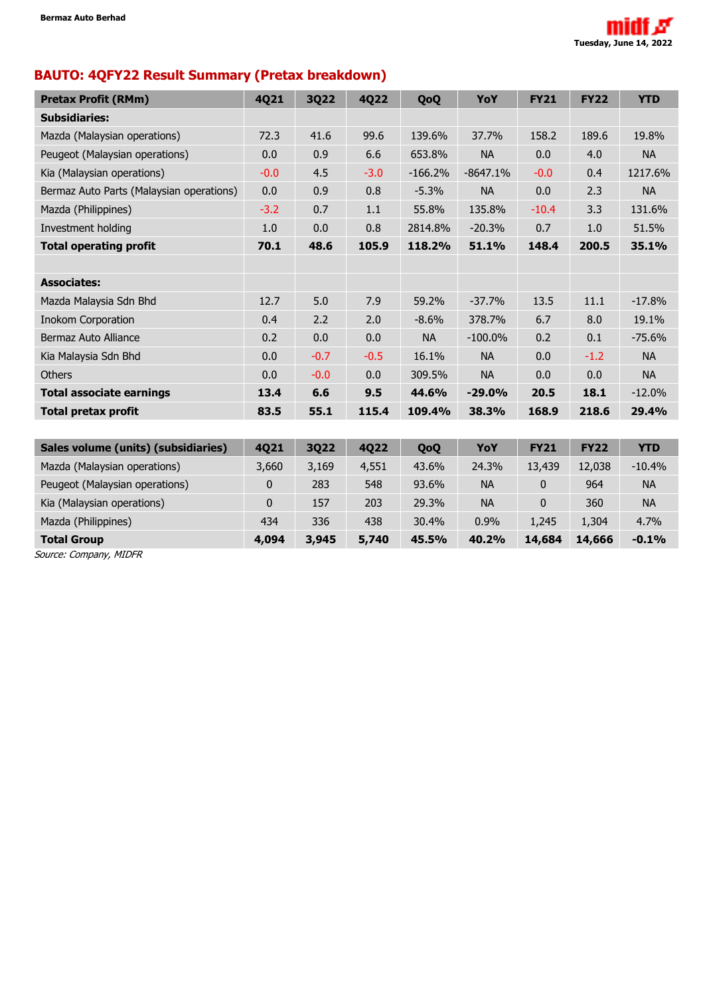

# **BAUTO: 4QFY22 Result Summary (Pretax breakdown)**

| <b>Pretax Profit (RMm)</b>               | 4Q21         | <b>3Q22</b> | <b>4Q22</b> | QoQ       | YoY        | <b>FY21</b> | <b>FY22</b> | <b>YTD</b> |
|------------------------------------------|--------------|-------------|-------------|-----------|------------|-------------|-------------|------------|
| <b>Subsidiaries:</b>                     |              |             |             |           |            |             |             |            |
| Mazda (Malaysian operations)             | 72.3         | 41.6        | 99.6        | 139.6%    | 37.7%      | 158.2       | 189.6       | 19.8%      |
| Peugeot (Malaysian operations)           | 0.0          | 0.9         | 6.6         | 653.8%    | <b>NA</b>  | 0.0         | 4.0         | <b>NA</b>  |
| Kia (Malaysian operations)               | $-0.0$       | 4.5         | $-3.0$      | $-166.2%$ | $-8647.1%$ | $-0.0$      | 0.4         | 1217.6%    |
| Bermaz Auto Parts (Malaysian operations) | 0.0          | 0.9         | 0.8         | $-5.3%$   | <b>NA</b>  | 0.0         | 2.3         | <b>NA</b>  |
| Mazda (Philippines)                      | $-3.2$       | 0.7         | 1.1         | 55.8%     | 135.8%     | $-10.4$     | 3.3         | 131.6%     |
| Investment holding                       | 1.0          | 0.0         | 0.8         | 2814.8%   | $-20.3%$   | 0.7         | 1.0         | 51.5%      |
| <b>Total operating profit</b>            | 70.1         | 48.6        | 105.9       | 118.2%    | 51.1%      | 148.4       | 200.5       | 35.1%      |
|                                          |              |             |             |           |            |             |             |            |
| <b>Associates:</b>                       |              |             |             |           |            |             |             |            |
| Mazda Malaysia Sdn Bhd                   | 12.7         | 5.0         | 7.9         | 59.2%     | $-37.7%$   | 13.5        | 11.1        | $-17.8%$   |
| <b>Inokom Corporation</b>                | 0.4          | 2.2         | 2.0         | $-8.6%$   | 378.7%     | 6.7         | 8.0         | 19.1%      |
| Bermaz Auto Alliance                     | 0.2          | 0.0         | 0.0         | <b>NA</b> | $-100.0\%$ | 0.2         | 0.1         | $-75.6%$   |
| Kia Malaysia Sdn Bhd                     | 0.0          | $-0.7$      | $-0.5$      | 16.1%     | <b>NA</b>  | 0.0         | $-1.2$      | <b>NA</b>  |
| <b>Others</b>                            | 0.0          | $-0.0$      | 0.0         | 309.5%    | <b>NA</b>  | 0.0         | 0.0         | <b>NA</b>  |
| <b>Total associate earnings</b>          | 13.4         | 6.6         | 9.5         | 44.6%     | $-29.0%$   | 20.5        | 18.1        | $-12.0%$   |
| <b>Total pretax profit</b>               | 83.5         | 55.1        | 115.4       | 109.4%    | 38.3%      | 168.9       | 218.6       | 29.4%      |
|                                          |              |             |             |           |            |             |             |            |
| Sales volume (units) (subsidiaries)      | 4Q21         | <b>3Q22</b> | 4Q22        | QoQ       | YoY        | <b>FY21</b> | <b>FY22</b> | <b>YTD</b> |
| Mazda (Malaysian operations)             | 3,660        | 3,169       | 4,551       | 43.6%     | 24.3%      | 13,439      | 12,038      | $-10.4%$   |
| Peugeot (Malaysian operations)           | $\mathbf{0}$ | 283         | 548         | 93.6%     | <b>NA</b>  | 0           | 964         | <b>NA</b>  |
| Kia (Malaysian operations)               | 0            | 157         | 203         | 29.3%     | <b>NA</b>  | 0           | 360         | <b>NA</b>  |
| Mazda (Philippines)                      | 434          | 336         | 438         | 30.4%     | 0.9%       | 1,245       | 1,304       | 4.7%       |
| <b>Total Group</b>                       | 4,094        | 3,945       | 5,740       | 45.5%     | 40.2%      | 14,684      | 14,666      | $-0.1%$    |

Source: Company, MIDFR